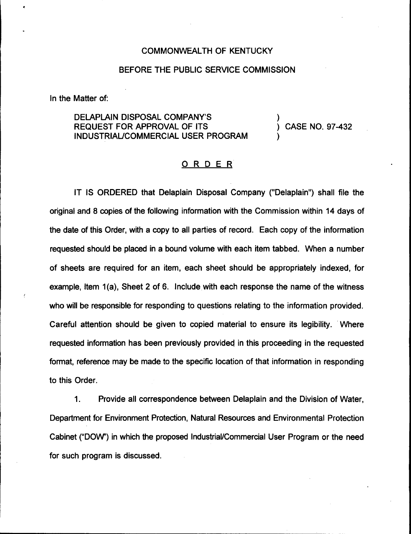## COMMONWEALTH OF KENTUCKY

## BEFORE THE PUBLIC SERVICE COMMISSION

In the Matter of:

DELAPLAIN DISPOSAL COMPANY'S REQUEST FOR APPROVAL OF ITS INDUSTRIAUCOMMERCIAL USER PROGRAM

) CASE NO. 97-432

)

)

## ORDER

IT IS ORDERED that Delaplain Disposal Company ("Delaplain") shall file the original and 8 copies of the following information with the Commission within 14 days of the date of this Order, with a copy to all parties of record. Each copy of the information requested should be placed in a bound volume with each item tabbed. When a number of sheets are required for an item, each sheet should be appropriately indexed, for example, Item 1(a), Sheet 2 of 6. Include with each response the name of the witness who will be responsible for responding to questions relating to the information provided. Careful attention should be given to copied material to ensure its legibility. Where requested information has been previously provided in this proceeding in the requested format, reference may be made to the specific location of that information in responding to this Order.

 $\mathbf 1$ . Provide all correspondence between Delaplain and the Division of Water, Department for Environment Protection, Natural Resources and Environmental Protection Cabinet ("DOW") in which the proposed Industrial/Commercial User Program or the need for such program is discussed.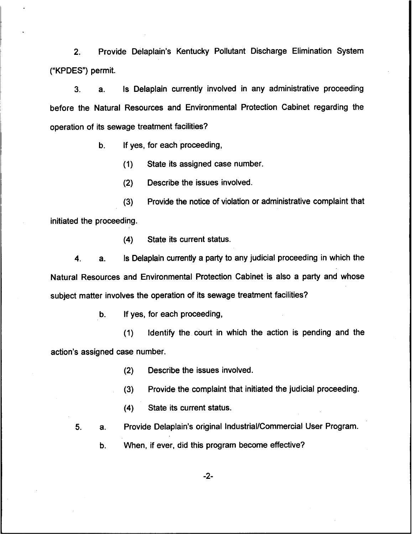2. Provide Delaplain's Kentucky Pollutant Discharge Elimination System ("KPDES") permit.

3. a. Is Delaplain currently involved in any administrative proceeding before the Natural Resources and Environmental Protection Cabinet regarding the operation of its sewage treatment facilities?

b. If yes, for each proceeding,

(1) State its assigned case number.

{2) Describe the issues involved.

{3) Provide the notice of violation or administrative complaint that initiated the proceeding.

(4) State its current status.

4. a. Is Delaplain currently a party to any judicial proceeding in which the Natural Resources and Environmental Protection Cabinet is also a party and whose subject matter involves the operation of its sewage treatment facilities?

b. If yes, for each proceeding,

(1) Identify the court in which the action is pending and the action's assigned case number.

(2) Describe the issues involved.

(3) Provide the complaint that initiated the judicial proceeding.

(4) State its current status.

5. a. Provide Delaplain's original Industrial/Commercial User Program.

b. When, if ever, did this program become effective?

 $-2-$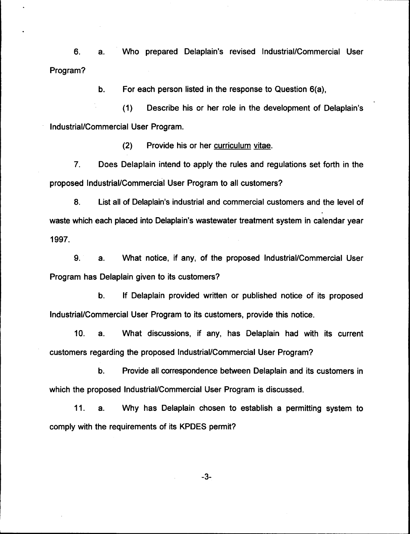6. a. Who prepared Delaplain's revised Industrial/Commercial User Program?

> For each person listed in the response to Question 6(a),  $b<sub>1</sub>$

(1) Describe his or her role in the development of Delaplain's Industrial/Commercial User Program.

(2) Provide his or her curriculum vitae.

7. Does Delaplain intend to apply the rules and regulations set forth in the proposed Industrial/Commercial User Program to all customers?

8. List all of Delaplain's industrial and commercial customers and the level of waste which each placed into Delaplain's wastewater treatment system in calendar year 1997.

9. a. What notice, if any, of the proposed Industrial/Commercial User Program has Delaplain given to its customers?

b. If Delaplain provided written or published notice of its proposed Industrial/Commercial User Program to its customers, provide this notice.

10. a. What discussions, if any, has Delaplain had with its current customers regarding the proposed Industrial/Commercial User Program?

b. Provide all correspondence between Delaplain and its customers in which the proposed Industrial/Commercial User Program is discussed.

11. a. Why has Delaplain chosen to establish a permitting system to comply with the requirements of its KPDES permit?

-3-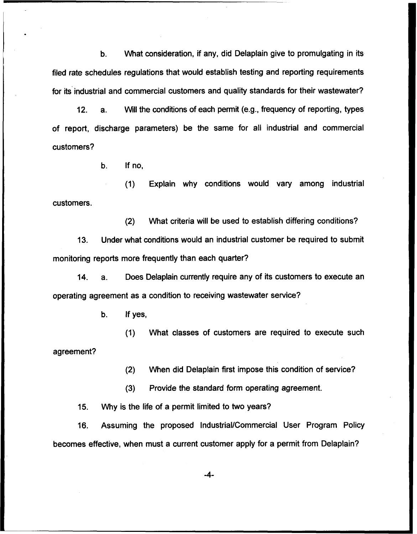b. What consideration, if any, did Delaplain give to promulgating in its filed rate schedules regulations that would establish testing and reporting requirements for its industrial and commercial customers and quality standards for their wastewater'?

12. a. Will the conditions of each permit (e.g., frequency of reporting, types of report, discharge parameters) be the same for all industrial and commercial customers?

b. If no,

(1) Explain why conditions would vary among industrial customers.

(2) What criteria will be used to establish differing conditions?

13. Under what conditions would an industrial customer be required to submit monitoring reports more frequently than each quarter?

14. a. Does Delaplain currently require any of its customers to execute an operating agreement as a condition to receiving wastewater service?

b. If yes,

(1) What classes of customers are required to execute such agreement?

(2) When did Delaplain first impose this condition of service?

(3) Provide the standard form operating agreement.

15. Why is the life of a permit limited to two years?

16. Assuming the proposed Industrial/Commercial User Program Policy becomes effective, when must a current customer apply for a permit from Delaplain?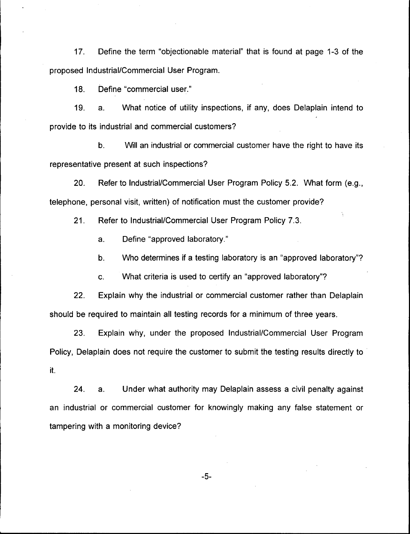17. Define the term "objectionable material" that is found at page 1-3 of the proposed Industrial/Commercial User Program.

18. Define "commercial user."

19. a. What notice of utility inspections, if any, does Delaplain intend to provide to its industrial and commercial customers?

 $b<sub>1</sub>$ Will an industrial or commercial customer have the right to have its representative present at such inspections?

20. Refer to Industrial/Commercial User Program Policy 5.2. What form (e.g,, telephone, personal visit, written) of notification must the customer provide?

21. Refer to Industrial/Commercial User Program Policy 7.3.

a. Define "approved laboratory."

b. Who determines if a testing laboratory is an "approved laboratory"?

c. What criteria is used to certify an "approved laboratory"?

22. Explain why the industrial or commercial customer rather than Delaplain should be required to maintain all testing records for a minimum of three years.

23. Explain why, under the proposed Industrial/Commercial User Program Policy, Delaplain does not require the customer to submit the testing results directly to it.

24. a. Under what authority may Delaplain assess a civil penalty against an industrial or commercial customer for knowingly making any false statement or tampering with a monitoring device?

 $-5-$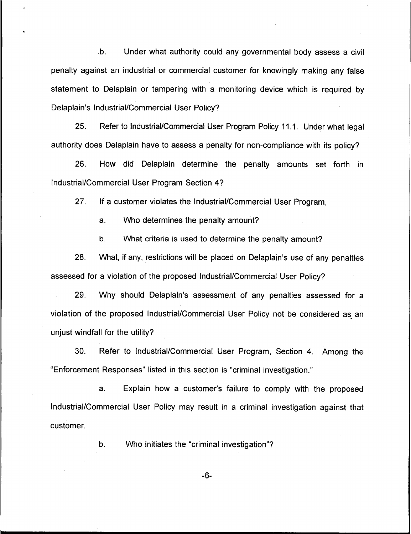b. Under what authority could any governmental body assess a civil penalty against an industrial or commercial customer for knowingly making any false statement to Delaplain or tampering with a monitoring device which is required by Delaplain's Industrial/Commercial User Policy?

25, Refer to Industrial/Commercial User Program Policy 11.1. Under what legal authority does Delaplain have to assess a penalty for non-compliance with its policy?

26. How did Delaplain determine the penalty amounts set forth in Industrial/Commercial User Program Section 4?

27. If a customer violates the Industrial/Commercial User Program,

a. Who determines the penalty amount?

b. What criteria is used to determine the penalty amount?

28. What, if any, restrictions will be placed on Delaplain's use of any penalties assessed for a violation of the proposed Industrial/Commercial User Policy?

29. Why should Delaplain's assessment of any penalties assessed for a violation of the proposed Industrial/Commercial User Policy not be considered as an unjust windfall for the utility?

30. Refer to Industrial/Commercial User Program, Section 4. Among the "Enforcement Responses" listed in this section is "criminal investigation."

a. Explain how a customer's failure to comply with the proposed Industrial/Commercial User Policy may result in a criminal investigation against that customer.

b. VVho initiates the "criminal investigation"?

-6-